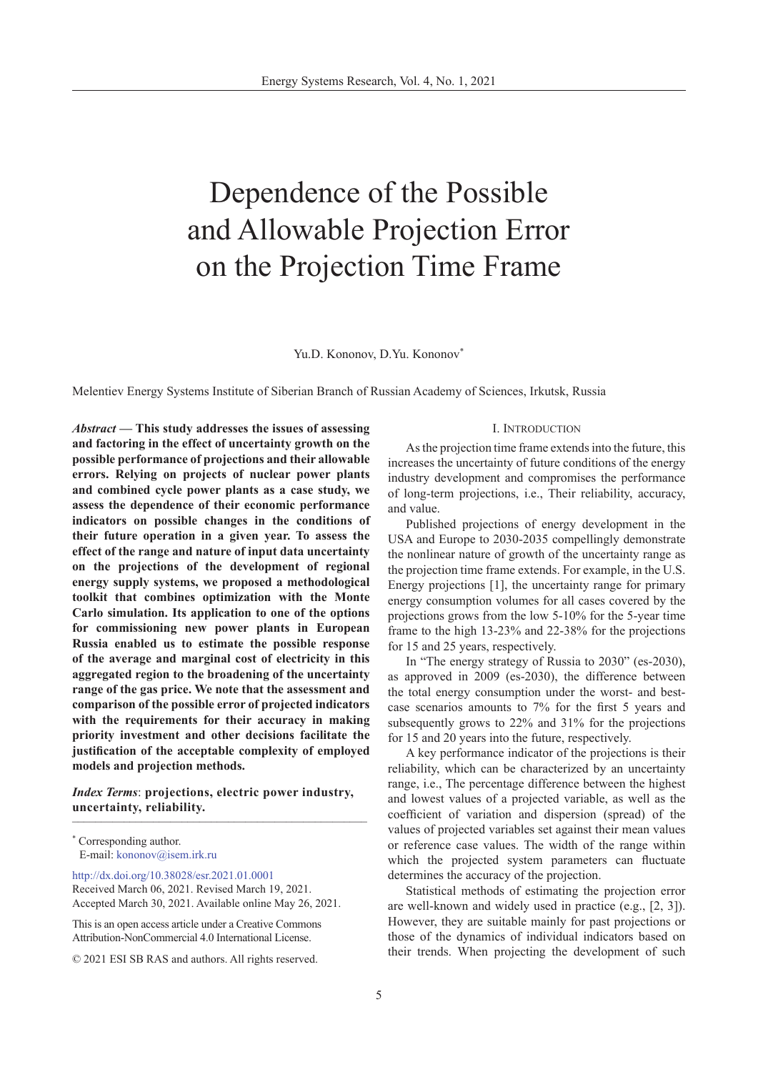# Dependence of the Possible and Allowable Projection Error on the Projection Time Frame

Yu.D. Kononov, D.Yu. Kononov\*

Melentiev Energy Systems Institute of Siberian Branch of Russian Academy of Sciences, Irkutsk, Russia

*Abstract* **— This study addresses the issues of assessing and factoring in the effect of uncertainty growth on the possible performance of projections and their allowable errors. Relying on projects of nuclear power plants and combined cycle power plants as a case study, we assess the dependence of their economic performance indicators on possible changes in the conditions of their future operation in a given year. To assess the effect of the range and nature of input data uncertainty on the projections of the development of regional energy supply systems, we proposed a methodological toolkit that combines optimization with the Monte Carlo simulation. Its application to one of the options for commissioning new power plants in European Russia enabled us to estimate the possible response of the average and marginal cost of electricity in this aggregated region to the broadening of the uncertainty range of the gas price. We note that the assessment and comparison of the possible error of projected indicators with the requirements for their accuracy in making priority investment and other decisions facilitate the justification of the acceptable complexity of employed models and projection methods.**

*Index Terms*: **projections, electric power industry, uncertainty, reliability.**  $\cdots$ 

<http://dx.doi.org/10.38028/esr.2021.01.0001> Received March 06, 2021. Revised March 19, 2021. Accepted March 30, 2021. Available online May 26, 2021.

This is an open access article under a Creative Commons Attribution-NonCommercial 4.0 International License.

© 2021 ESI SB RAS and authors. All rights reserved.

## I. Introduction

As the projection time frame extends into the future, this increases the uncertainty of future conditions of the energy industry development and compromises the performance of long-term projections, i.e., Their reliability, accuracy, and value.

Published projections of energy development in the USA and Europe to 2030-2035 compellingly demonstrate the nonlinear nature of growth of the uncertainty range as the projection time frame extends. For example, in the U.S. Energy projections [1], the uncertainty range for primary energy consumption volumes for all cases covered by the projections grows from the low 5-10% for the 5-year time frame to the high 13-23% and 22-38% for the projections for 15 and 25 years, respectively.

In "The energy strategy of Russia to 2030" (es-2030), as approved in 2009 (es-2030), the difference between the total energy consumption under the worst- and bestcase scenarios amounts to 7% for the first 5 years and subsequently grows to 22% and 31% for the projections for 15 and 20 years into the future, respectively.

A key performance indicator of the projections is their reliability, which can be characterized by an uncertainty range, i.e., The percentage difference between the highest and lowest values of a projected variable, as well as the coefficient of variation and dispersion (spread) of the values of projected variables set against their mean values or reference case values. The width of the range within which the projected system parameters can fluctuate determines the accuracy of the projection.

Statistical methods of estimating the projection error are well-known and widely used in practice (e.g., [2, 3]). However, they are suitable mainly for past projections or those of the dynamics of individual indicators based on their trends. When projecting the development of such

<sup>\*</sup> Corresponding author. E-mail: kononov@isem.irk.r[u](mailto:kononov%40isem.irk.ru?subject=)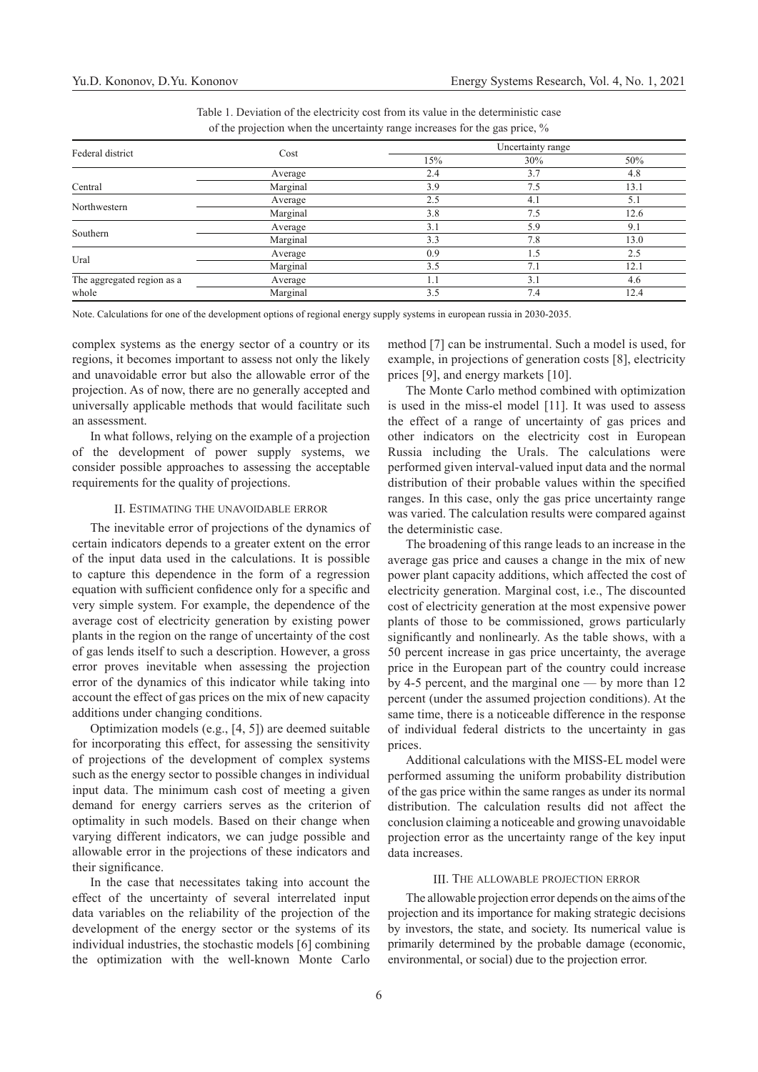| Federal district           | Cost     | Uncertainty range |     |      |
|----------------------------|----------|-------------------|-----|------|
|                            |          | 15%               | 30% | 50%  |
|                            | Average  | 2.4               | 3.7 | 4.8  |
| Central                    | Marginal | 3.9               | 7.5 | 13.1 |
| Northwestern               | Average  | 2.5               | 4.1 | 5.1  |
|                            | Marginal | 3.8               | 7.5 | 12.6 |
| Southern                   | Average  | 3.1               | 5.9 | 9.1  |
|                            | Marginal | 3.3               | 7.8 | 13.0 |
| Ural                       | Average  | 0.9               | 1.5 | 2.5  |
|                            | Marginal | 3.5               | 7.1 | 12.1 |
| The aggregated region as a | Average  | 1.1               | 3.1 | 4.6  |
| whole                      | Marginal | 3.5               | 7.4 | 12.4 |

Table 1. Deviation of the electricity cost from its value in the deterministic case of the projection when the uncertainty range increases for the gas price,  $\frac{0}{2}$ 

Note. Calculations for one of the development options of regional energy supply systems in european russia in 2030-2035.

complex systems as the energy sector of a country or its regions, it becomes important to assess not only the likely and unavoidable error but also the allowable error of the projection. As of now, there are no generally accepted and universally applicable methods that would facilitate such an assessment.

In what follows, relying on the example of a projection of the development of power supply systems, we consider possible approaches to assessing the acceptable requirements for the quality of projections.

### II. Estimating the unavoidable error

The inevitable error of projections of the dynamics of certain indicators depends to a greater extent on the error of the input data used in the calculations. It is possible to capture this dependence in the form of a regression equation with sufficient confidence only for a specific and very simple system. For example, the dependence of the average cost of electricity generation by existing power plants in the region on the range of uncertainty of the cost of gas lends itself to such a description. However, a gross error proves inevitable when assessing the projection error of the dynamics of this indicator while taking into account the effect of gas prices on the mix of new capacity additions under changing conditions.

Optimization models (e.g., [4, 5]) are deemed suitable for incorporating this effect, for assessing the sensitivity of projections of the development of complex systems such as the energy sector to possible changes in individual input data. The minimum cash cost of meeting a given demand for energy carriers serves as the criterion of optimality in such models. Based on their change when varying different indicators, we can judge possible and allowable error in the projections of these indicators and their significance.

In the case that necessitates taking into account the effect of the uncertainty of several interrelated input data variables on the reliability of the projection of the development of the energy sector or the systems of its individual industries, the stochastic models [6] combining the optimization with the well-known Monte Carlo method [7] can be instrumental. Such a model is used, for example, in projections of generation costs [8], electricity prices [9], and energy markets [10].

The Monte Carlo method combined with optimization is used in the miss-el model [11]. It was used to assess the effect of a range of uncertainty of gas prices and other indicators on the electricity cost in European Russia including the Urals. The calculations were performed given interval-valued input data and the normal distribution of their probable values within the specified ranges. In this case, only the gas price uncertainty range was varied. The calculation results were compared against the deterministic case.

The broadening of this range leads to an increase in the average gas price and causes a change in the mix of new power plant capacity additions, which affected the cost of electricity generation. Marginal cost, i.e., The discounted cost of electricity generation at the most expensive power plants of those to be commissioned, grows particularly significantly and nonlinearly. As the table shows, with a 50 percent increase in gas price uncertainty, the average price in the European part of the country could increase by 4-5 percent, and the marginal one — by more than 12 percent (under the assumed projection conditions). At the same time, there is a noticeable difference in the response of individual federal districts to the uncertainty in gas prices.

Additional calculations with the MISS-EL model were performed assuming the uniform probability distribution of the gas price within the same ranges as under its normal distribution. The calculation results did not affect the conclusion claiming a noticeable and growing unavoidable projection error as the uncertainty range of the key input data increases.

#### III. The allowable projection error

The allowable projection error depends on the aims of the projection and its importance for making strategic decisions by investors, the state, and society. Its numerical value is primarily determined by the probable damage (economic, environmental, or social) due to the projection error.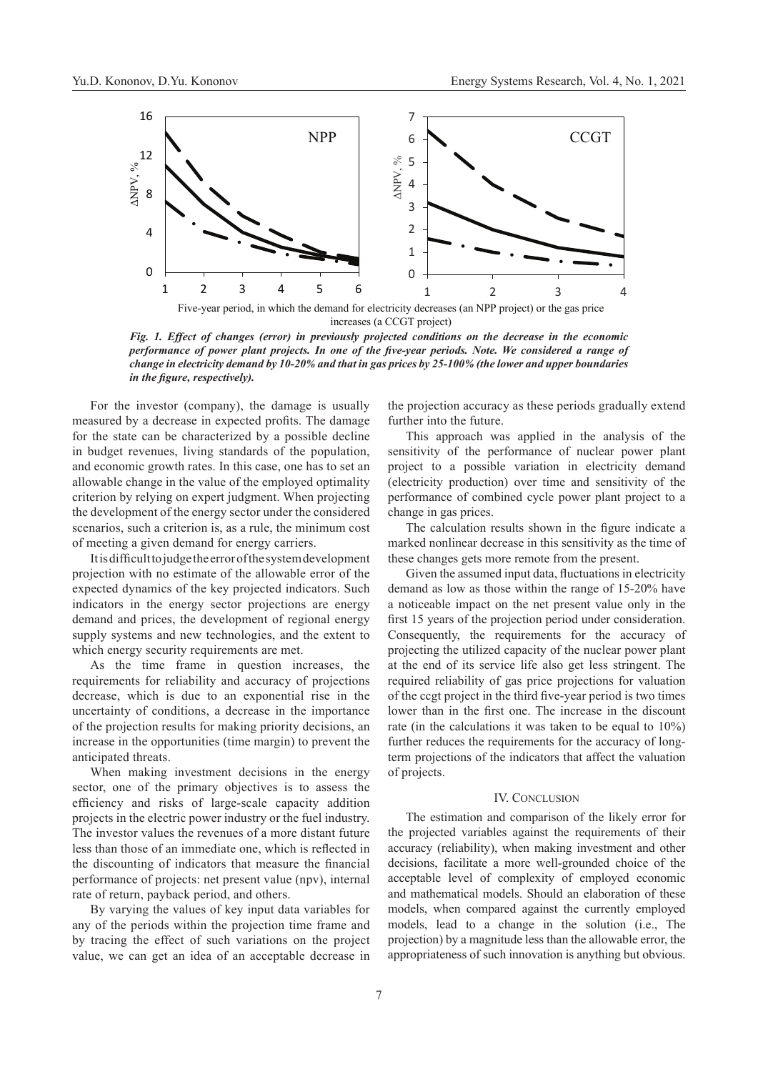

increases (a CCGT project)

*Fig. 1. Effect of changes (error) in previously projected conditions on the decrease in the economic performance of power plant projects. In one of the five-year periods. Note. We considered a range of change in electricity demand by 10-20% and that in gas prices by 25-100% (the lower and upper boundaries in the figure, respectively).*

For the investor (company), the damage is usually measured by a decrease in expected profits. The damage for the state can be characterized by a possible decline in budget revenues, living standards of the population, and economic growth rates. In this case, one has to set an allowable change in the value of the employed optimality criterion by relying on expert judgment. When projecting the development of the energy sector under the considered scenarios, such a criterion is, as a rule, the minimum cost of meeting a given demand for energy carriers.

It is difficult to judge the error of the system development projection with no estimate of the allowable error of the expected dynamics of the key projected indicators. Such indicators in the energy sector projections are energy demand and prices, the development of regional energy supply systems and new technologies, and the extent to which energy security requirements are met.

As the time frame in question increases, the requirements for reliability and accuracy of projections decrease, which is due to an exponential rise in the uncertainty of conditions, a decrease in the importance of the projection results for making priority decisions, an increase in the opportunities (time margin) to prevent the anticipated threats.

When making investment decisions in the energy sector, one of the primary objectives is to assess the efficiency and risks of large-scale capacity addition projects in the electric power industry or the fuel industry. The investor values the revenues of a more distant future less than those of an immediate one, which is reflected in the discounting of indicators that measure the financial performance of projects: net present value (npv), internal rate of return, payback period, and others.

By varying the values of key input data variables for any of the periods within the projection time frame and by tracing the effect of such variations on the project value, we can get an idea of an acceptable decrease in

the projection accuracy as these periods gradually extend further into the future.

This approach was applied in the analysis of the sensitivity of the performance of nuclear power plant project to a possible variation in electricity demand (electricity production) over time and sensitivity of the performance of combined cycle power plant project to a change in gas prices.

The calculation results shown in the figure indicate a marked nonlinear decrease in this sensitivity as the time of these changes gets more remote from the present.

Given the assumed input data, fluctuations in electricity demand as low as those within the range of 15-20% have a noticeable impact on the net present value only in the first 15 years of the projection period under consideration. Consequently, the requirements for the accuracy of projecting the utilized capacity of the nuclear power plant at the end of its service life also get less stringent. The required reliability of gas price projections for valuation of the ccgt project in the third five-year period is two times lower than in the first one. The increase in the discount rate (in the calculations it was taken to be equal to 10%) further reduces the requirements for the accuracy of longterm projections of the indicators that affect the valuation of projects.

#### IV. CONCLUSION

The estimation and comparison of the likely error for the projected variables against the requirements of their accuracy (reliability), when making investment and other decisions, facilitate a more well-grounded choice of the acceptable level of complexity of employed economic and mathematical models. Should an elaboration of these models, when compared against the currently employed models, lead to a change in the solution (i.e., The projection) by a magnitude less than the allowable error, the appropriateness of such innovation is anything but obvious.